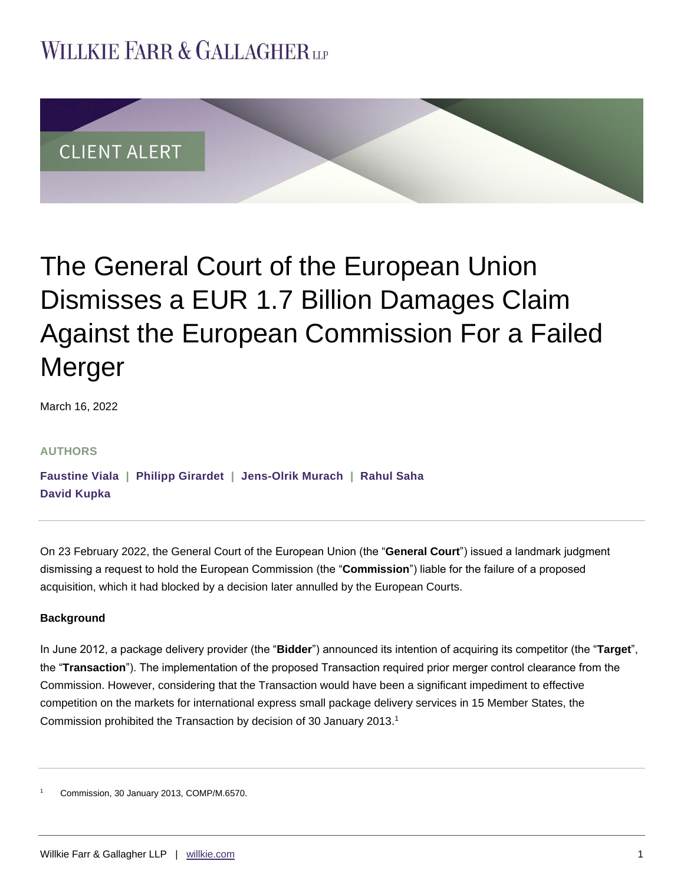## **WILLKIE FARR & GALLAGHERUP**



# The General Court of the European Union Dismisses a EUR 1.7 Billion Damages Claim Against the European Commission For a Failed Merger

March 16, 2022

#### **AUTHORS**

**[Faustine Viala](https://www.willkie.com/professionals/v/viala-faustine) | [Philipp Girardet](https://www.willkie.com/professionals/g/girardet-philipp) | [Jens-Olrik Murach](https://www.willkie.com/professionals/m/murach-jens-olrik) | [Rahul Saha](https://www.willkie.com/professionals/s/saha-rahul) [David Kupka](https://www.willkie.com/professionals/k/kupka-david)**

On 23 February 2022, the General Court of the European Union (the "**General Court**") issued a landmark judgment dismissing a request to hold the European Commission (the "**Commission**") liable for the failure of a proposed acquisition, which it had blocked by a decision later annulled by the European Courts.

#### **Background**

In June 2012, a package delivery provider (the "**Bidder**") announced its intention of acquiring its competitor (the "**Target**", the "**Transaction**"). The implementation of the proposed Transaction required prior merger control clearance from the Commission. However, considering that the Transaction would have been a significant impediment to effective competition on the markets for international express small package delivery services in 15 Member States, the Commission prohibited the Transaction by decision of 30 January 2013.<sup>1</sup>

<sup>1</sup> Commission, 30 January 2013, COMP/M.6570.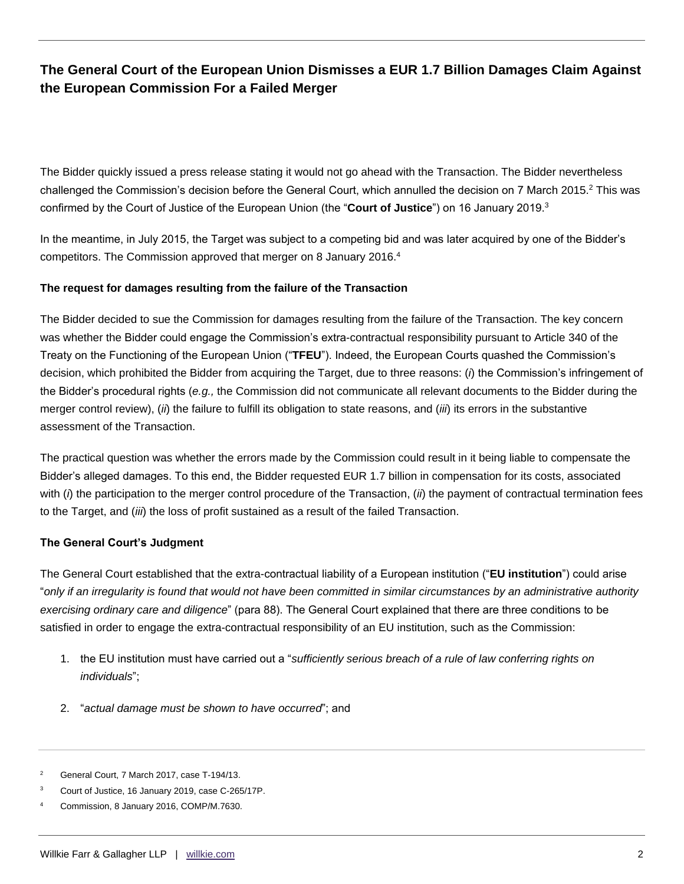The Bidder quickly issued a press release stating it would not go ahead with the Transaction. The Bidder nevertheless challenged the Commission's decision before the General Court, which annulled the decision on 7 March 2015.<sup>2</sup> This was confirmed by the Court of Justice of the European Union (the "**Court of Justice**") on 16 January 2019.<sup>3</sup>

In the meantime, in July 2015, the Target was subject to a competing bid and was later acquired by one of the Bidder's competitors. The Commission approved that merger on 8 January 2016.<sup>4</sup>

#### **The request for damages resulting from the failure of the Transaction**

The Bidder decided to sue the Commission for damages resulting from the failure of the Transaction. The key concern was whether the Bidder could engage the Commission's extra-contractual responsibility pursuant to Article 340 of the Treaty on the Functioning of the European Union ("**TFEU**"). Indeed, the European Courts quashed the Commission's decision, which prohibited the Bidder from acquiring the Target, due to three reasons: (*i*) the Commission's infringement of the Bidder's procedural rights (*e.g.,* the Commission did not communicate all relevant documents to the Bidder during the merger control review), (*ii*) the failure to fulfill its obligation to state reasons, and (*iii*) its errors in the substantive assessment of the Transaction.

The practical question was whether the errors made by the Commission could result in it being liable to compensate the Bidder's alleged damages. To this end, the Bidder requested EUR 1.7 billion in compensation for its costs, associated with (*i*) the participation to the merger control procedure of the Transaction, (*ii*) the payment of contractual termination fees to the Target, and (*iii*) the loss of profit sustained as a result of the failed Transaction.

#### **The General Court's Judgment**

The General Court established that the extra-contractual liability of a European institution ("**EU institution**") could arise "*only if an irregularity is found that would not have been committed in similar circumstances by an administrative authority exercising ordinary care and diligence*" (para 88). The General Court explained that there are three conditions to be satisfied in order to engage the extra-contractual responsibility of an EU institution, such as the Commission:

- 1. the EU institution must have carried out a "*sufficiently serious breach of a rule of law conferring rights on individuals*";
- 2. "*actual damage must be shown to have occurred*"; and
- <sup>2</sup> General Court, 7 March 2017, case T-194/13.

Court of Justice, 16 January 2019, case C-265/17P.

<sup>4</sup> Commission, 8 January 2016, COMP/M.7630.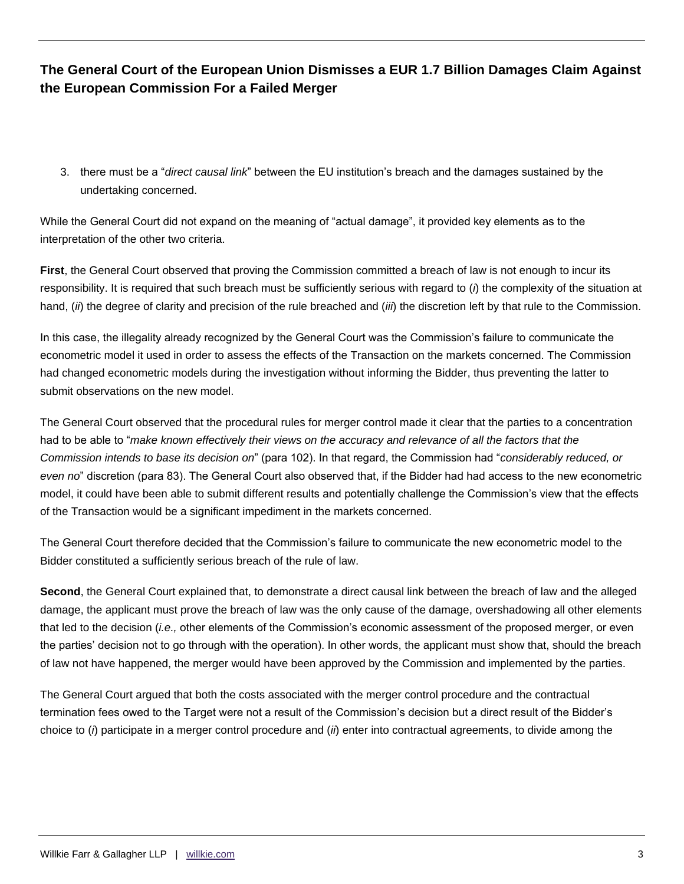3. there must be a "*direct causal link*" between the EU institution's breach and the damages sustained by the undertaking concerned.

While the General Court did not expand on the meaning of "actual damage", it provided key elements as to the interpretation of the other two criteria.

**First**, the General Court observed that proving the Commission committed a breach of law is not enough to incur its responsibility. It is required that such breach must be sufficiently serious with regard to (*i*) the complexity of the situation at hand, (*ii*) the degree of clarity and precision of the rule breached and (*iii*) the discretion left by that rule to the Commission.

In this case, the illegality already recognized by the General Court was the Commission's failure to communicate the econometric model it used in order to assess the effects of the Transaction on the markets concerned. The Commission had changed econometric models during the investigation without informing the Bidder, thus preventing the latter to submit observations on the new model.

The General Court observed that the procedural rules for merger control made it clear that the parties to a concentration had to be able to "*make known effectively their views on the accuracy and relevance of all the factors that the Commission intends to base its decision on*" (para 102). In that regard, the Commission had "*considerably reduced, or even no*" discretion (para 83). The General Court also observed that, if the Bidder had had access to the new econometric model, it could have been able to submit different results and potentially challenge the Commission's view that the effects of the Transaction would be a significant impediment in the markets concerned.

The General Court therefore decided that the Commission's failure to communicate the new econometric model to the Bidder constituted a sufficiently serious breach of the rule of law.

**Second**, the General Court explained that, to demonstrate a direct causal link between the breach of law and the alleged damage, the applicant must prove the breach of law was the only cause of the damage, overshadowing all other elements that led to the decision (*i.e.,* other elements of the Commission's economic assessment of the proposed merger, or even the parties' decision not to go through with the operation). In other words, the applicant must show that, should the breach of law not have happened, the merger would have been approved by the Commission and implemented by the parties.

The General Court argued that both the costs associated with the merger control procedure and the contractual termination fees owed to the Target were not a result of the Commission's decision but a direct result of the Bidder's choice to (*i*) participate in a merger control procedure and (*ii*) enter into contractual agreements, to divide among the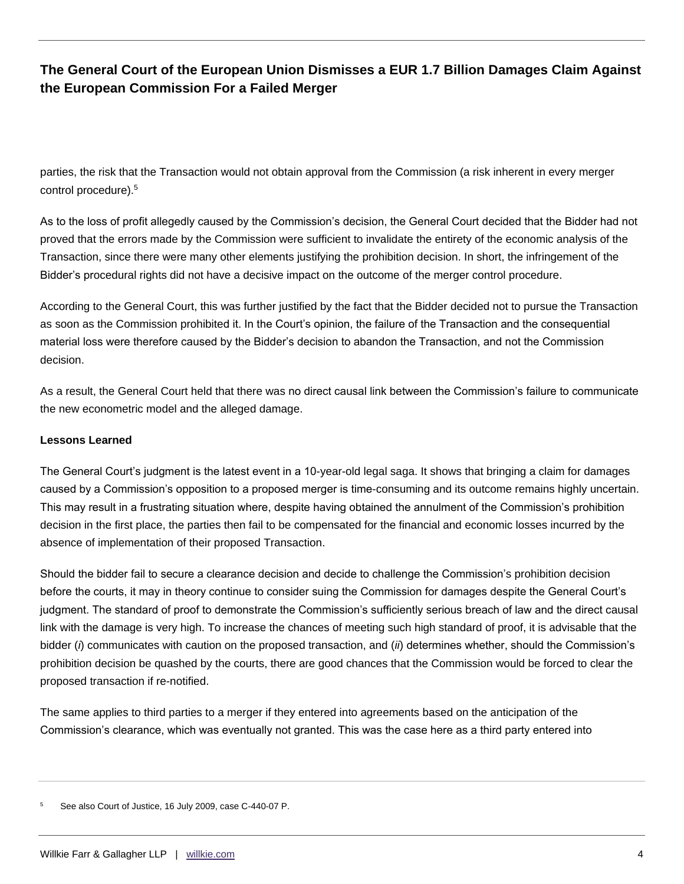parties, the risk that the Transaction would not obtain approval from the Commission (a risk inherent in every merger control procedure).<sup>5</sup>

As to the loss of profit allegedly caused by the Commission's decision, the General Court decided that the Bidder had not proved that the errors made by the Commission were sufficient to invalidate the entirety of the economic analysis of the Transaction, since there were many other elements justifying the prohibition decision. In short, the infringement of the Bidder's procedural rights did not have a decisive impact on the outcome of the merger control procedure.

According to the General Court, this was further justified by the fact that the Bidder decided not to pursue the Transaction as soon as the Commission prohibited it. In the Court's opinion, the failure of the Transaction and the consequential material loss were therefore caused by the Bidder's decision to abandon the Transaction, and not the Commission decision.

As a result, the General Court held that there was no direct causal link between the Commission's failure to communicate the new econometric model and the alleged damage.

#### **Lessons Learned**

The General Court's judgment is the latest event in a 10-year-old legal saga. It shows that bringing a claim for damages caused by a Commission's opposition to a proposed merger is time-consuming and its outcome remains highly uncertain. This may result in a frustrating situation where, despite having obtained the annulment of the Commission's prohibition decision in the first place, the parties then fail to be compensated for the financial and economic losses incurred by the absence of implementation of their proposed Transaction.

Should the bidder fail to secure a clearance decision and decide to challenge the Commission's prohibition decision before the courts, it may in theory continue to consider suing the Commission for damages despite the General Court's judgment. The standard of proof to demonstrate the Commission's sufficiently serious breach of law and the direct causal link with the damage is very high. To increase the chances of meeting such high standard of proof, it is advisable that the bidder (*i*) communicates with caution on the proposed transaction, and (*ii*) determines whether, should the Commission's prohibition decision be quashed by the courts, there are good chances that the Commission would be forced to clear the proposed transaction if re-notified.

The same applies to third parties to a merger if they entered into agreements based on the anticipation of the Commission's clearance, which was eventually not granted. This was the case here as a third party entered into

<sup>5</sup> See also Court of Justice, 16 July 2009, case C-440-07 P.